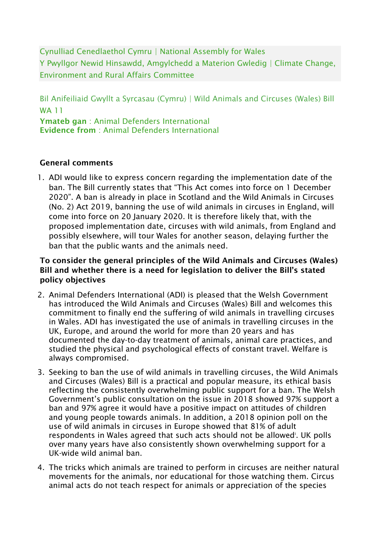Cynulliad Cenedlaethol Cymru | National Assembly for Wales Y Pwyllgor Newid Hinsawdd, Amgylchedd a Materion Gwledig | Climate Change, Environment and Rural Affairs Committee

Bil Anifeiliaid Gwyllt a Syrcasau (Cymru) | Wild Animals and Circuses (Wales) Bill WA 11 Ymateb gan : Animal Defenders International Evidence from : Animal Defenders International

## General comments

1. ADI would like to express concern regarding the implementation date of the ban. The Bill currently states that "This Act comes into force on 1 December 2020". A ban is already in place in Scotland and the Wild Animals in Circuses (No. 2) Act 2019, banning the use of wild animals in circuses in England, will come into force on 20 January 2020. It is therefore likely that, with the proposed implementation date, circuses with wild animals, from England and possibly elsewhere, will tour Wales for another season, delaying further the ban that the public wants and the animals need.

## To consider the general principles of the Wild Animals and Circuses (Wales) Bill and whether there is a need for legislation to deliver the Bill's stated policy objectives

- 2. Animal Defenders International (ADI) is pleased that the Welsh Government has introduced the Wild Animals and Circuses (Wales) Bill and welcomes this commitment to finally end the suffering of wild animals in travelling circuses in Wales. ADI has investigated the use of animals in travelling circuses in the UK, Europe, and around the world for more than 20 years and has documented the day-to-day treatment of animals, animal care practices, and studied the physical and psychological effects of constant travel. Welfare is always compromised.
- 3. Seeking to ban the use of wild animals in travelling circuses, the Wild Animals and Circuses (Wales) Bill is a practical and popular measure, its ethical basis reflecting the consistently overwhelming public support for a ban. The Welsh Government's public consultation on the issue in 2018 showed 97% support a ban and 97% agree it would have a positive impact on attitudes of children and young people towards animals. In addition, a 2018 opinion poll on the use of wild animals in circuses in Europe showed that 81% of adult respondents in Wales agreed that such acts should not be allowed<sup>†</sup>. UK polls over many years have also consistently shown overwhelming support for a UK-wide wild animal ban.
- 4. The tricks which animals are trained to perform in circuses are neither natural movements for the animals, nor educational for those watching them. Circus animal acts do not teach respect for animals or appreciation of the species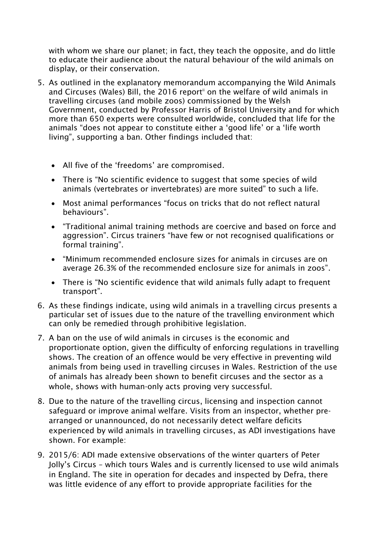with whom we share our planet; in fact, they teach the opposite, and do little to educate their audience about the natural behaviour of the wild animals on display, or their conservation.

- 5. As outlined in the explanatory memorandum accompanying the Wild Animals and Circuses (Wales) Bill, the 2016 report<sup>ii</sup> on the welfare of wild animals in travelling circuses (and mobile zoos) commissioned by the Welsh Government, conducted by Professor Harris of Bristol University and for which more than 650 experts were consulted worldwide, concluded that life for the animals "does not appear to constitute either a 'good life' or a 'life worth living", supporting a ban. Other findings included that:
	- All five of the 'freedoms' are compromised.
	- There is "No scientific evidence to suggest that some species of wild animals (vertebrates or invertebrates) are more suited" to such a life.
	- Most animal performances "focus on tricks that do not reflect natural behaviours".
	- "Traditional animal training methods are coercive and based on force and aggression". Circus trainers "have few or not recognised qualifications or formal training".
	- "Minimum recommended enclosure sizes for animals in circuses are on average 26.3% of the recommended enclosure size for animals in zoos".
	- There is "No scientific evidence that wild animals fully adapt to frequent transport".
- 6. As these findings indicate, using wild animals in a travelling circus presents a particular set of issues due to the nature of the travelling environment which can only be remedied through prohibitive legislation.
- 7. A ban on the use of wild animals in circuses is the economic and proportionate option, given the difficulty of enforcing regulations in travelling shows. The creation of an offence would be very effective in preventing wild animals from being used in travelling circuses in Wales. Restriction of the use of animals has already been shown to benefit circuses and the sector as a whole, shows with human-only acts proving very successful.
- 8. Due to the nature of the travelling circus, licensing and inspection cannot safeguard or improve animal welfare. Visits from an inspector, whether prearranged or unannounced, do not necessarily detect welfare deficits experienced by wild animals in travelling circuses, as ADI investigations have shown. For example:
- 9. 2015/6: ADI made extensive observations of the winter quarters of Peter Jolly's Circus – which tours Wales and is currently licensed to use wild animals in England. The site in operation for decades and inspected by Defra, there was little evidence of any effort to provide appropriate facilities for the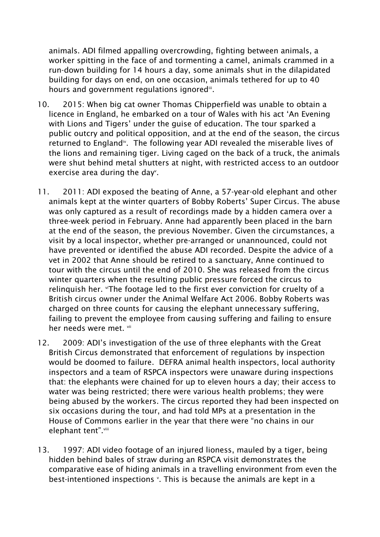animals. ADI filmed appalling overcrowding, fighting between animals, a worker spitting in the face of and tormenting a camel, animals crammed in a run-down building for 14 hours a day, some animals shut in the dilapidated building for days on end, on one occasion, animals tethered for up to 40 hours and government regulations ignored<sup>iii</sup>.

- 10. 2015: When big cat owner Thomas Chipperfield was unable to obtain a licence in England, he embarked on a tour of Wales with his act 'An Evening with Lions and Tigers' under the guise of education. The tour sparked a public outcry and political opposition, and at the end of the season, the circus returned to England<sup>iv</sup>. The following year ADI revealed the miserable lives of the lions and remaining tiger. Living caged on the back of a truck, the animals were shut behind metal shutters at night, with restricted access to an outdoor exercise area during the day<sup>v</sup>.
- 11. 2011: ADI exposed the beating of Anne, a 57-year-old elephant and other animals kept at the winter quarters of Bobby Roberts' Super Circus. The abuse was only captured as a result of recordings made by a hidden camera over a three-week period in February. Anne had apparently been placed in the barn at the end of the season, the previous November. Given the circumstances, a visit by a local inspector, whether pre-arranged or unannounced, could not have prevented or identified the abuse ADI recorded. Despite the advice of a vet in 2002 that Anne should be retired to a sanctuary, Anne continued to tour with the circus until the end of 2010. She was released from the circus winter quarters when the resulting public pressure forced the circus to relinguish her. "The footage led to the first ever conviction for cruelty of a British circus owner under the Animal Welfare Act 2006. Bobby Roberts was charged on three counts for causing the elephant unnecessary suffering, failing to prevent the employee from causing suffering and failing to ensure her needs were met. Vii.
- 12. 2009: ADI's investigation of the use of three elephants with the Great British Circus demonstrated that enforcement of regulations by inspection would be doomed to failure. DEFRA animal health inspectors, local authority inspectors and a team of RSPCA inspectors were unaware during inspections that: the elephants were chained for up to eleven hours a day; their access to water was being restricted; there were various health problems; they were being abused by the workers. The circus reported they had been inspected on six occasions during the tour, and had told MPs at a presentation in the House of Commons earlier in the year that there were "no chains in our elephant tent".<sup>viii</sup>
- 13. 1997: ADI video footage of an injured lioness, mauled by a tiger, being hidden behind bales of straw during an RSPCA visit demonstrates the comparative ease of hiding animals in a travelling environment from even the best-intentioned inspections  $\cdot$ . This is because the animals are kept in a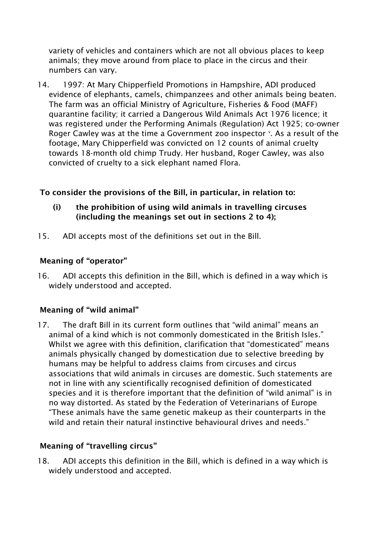variety of vehicles and containers which are not all obvious places to keep animals; they move around from place to place in the circus and their numbers can vary.

14. 1997: At Mary Chipperfield Promotions in Hampshire, ADI produced evidence of elephants, camels, chimpanzees and other animals being beaten. The farm was an official Ministry of Agriculture, Fisheries & Food (MAFF) quarantine facility; it carried a Dangerous Wild Animals Act 1976 licence; it was registered under the Performing Animals (Regulation) Act 1925; co-owner Roger Cawley was at the time a Government zoo inspector  $\cdot$ . As a result of the footage, Mary Chipperfield was convicted on 12 counts of animal cruelty towards 18-month old chimp Trudy. Her husband, Roger Cawley, was also convicted of cruelty to a sick elephant named Flora.

# To consider the provisions of the Bill, in particular, in relation to:

- (i) the prohibition of using wild animals in travelling circuses (including the meanings set out in sections 2 to 4);
- 15. ADI accepts most of the definitions set out in the Bill.

## Meaning of "operator"

16. ADI accepts this definition in the Bill, which is defined in a way which is widely understood and accepted.

## Meaning of "wild animal"

17. The draft Bill in its current form outlines that "wild animal" means an animal of a kind which is not commonly domesticated in the British Isles." Whilst we agree with this definition, clarification that "domesticated" means animals physically changed by domestication due to selective breeding by humans may be helpful to address claims from circuses and circus associations that wild animals in circuses are domestic. Such statements are not in line with any scientifically recognised definition of domesticated species and it is therefore important that the definition of "wild animal" is in no way distorted. As stated by the Federation of Veterinarians of Europe "These animals have the same genetic makeup as their counterparts in the wild and retain their natural instinctive behavioural drives and needs."

#### Meaning of "travelling circus"

18. ADI accepts this definition in the Bill, which is defined in a way which is widely understood and accepted.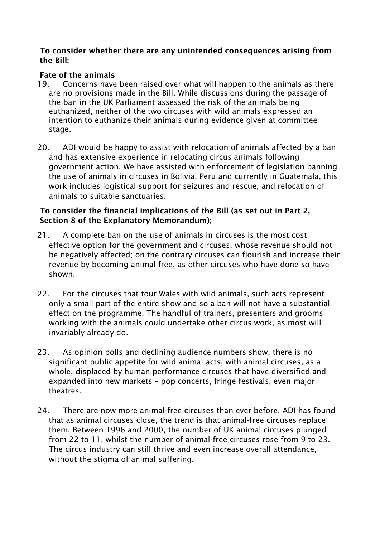#### To consider whether there are any unintended consequences arising from the Bill;

## Fate of the animals

- 19. Concerns have been raised over what will happen to the animals as there are no provisions made in the Bill. While discussions during the passage of the ban in the UK Parliament assessed the risk of the animals being euthanized, neither of the two circuses with wild animals expressed an intention to euthanize their animals during evidence given at committee stage.
- 20. ADI would be happy to assist with relocation of animals affected by a ban and has extensive experience in relocating circus animals following government action. We have assisted with enforcement of legislation banning the use of animals in circuses in Bolivia, Peru and currently in Guatemala, this work includes logistical support for seizures and rescue, and relocation of animals to suitable sanctuaries.

# To consider the financial implications of the Bill (as set out in Part 2, Section 8 of the Explanatory Memorandum);

- 21. A complete ban on the use of animals in circuses is the most cost effective option for the government and circuses, whose revenue should not be negatively affected; on the contrary circuses can flourish and increase their revenue by becoming animal free, as other circuses who have done so have shown.
- 22. For the circuses that tour Wales with wild animals, such acts represent only a small part of the entire show and so a ban will not have a substantial effect on the programme. The handful of trainers, presenters and grooms working with the animals could undertake other circus work, as most will invariably already do.
- 23. As opinion polls and declining audience numbers show, there is no significant public appetite for wild animal acts, with animal circuses, as a whole, displaced by human performance circuses that have diversified and expanded into new markets – pop concerts, fringe festivals, even major theatres.
- 24. There are now more animal-free circuses than ever before. ADI has found that as animal circuses close, the trend is that animal-free circuses replace them. Between 1996 and 2000, the number of UK animal circuses plunged from 22 to 11, whilst the number of animal-free circuses rose from 9 to 23. The circus industry can still thrive and even increase overall attendance, without the stigma of animal suffering.